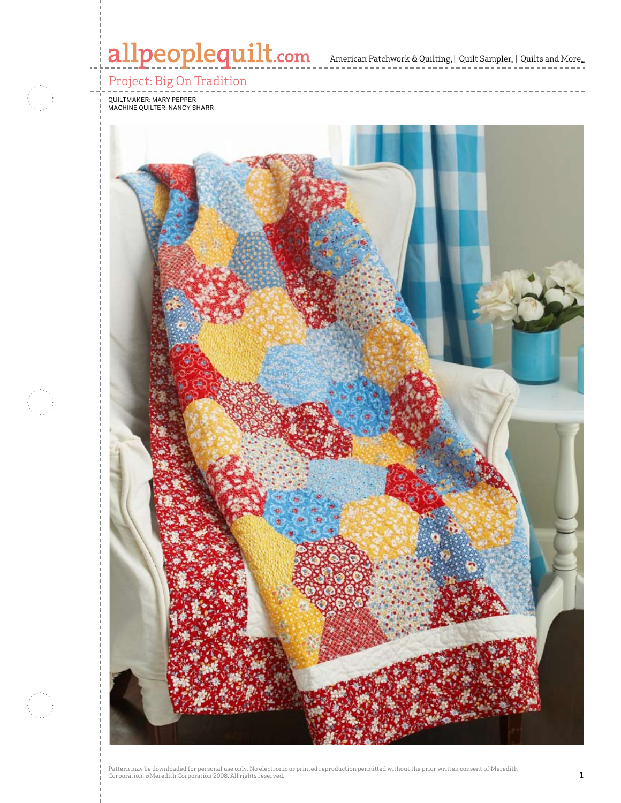# allpeoplequilt.com<br>american Patchwork & Quilting, | Quilt Sampler, | Quilts and More...

# Project: Big On Tradition

Quiltmaker: Mary Pepper Machine quilter: Nancy Sharr

i<br>De



Pattern may be downloaded for personal use only. No electronic or printed reproduction permitted without the prior written consent of Meredith<br>Corporation. ©Meredith Corporation 2008. All rights reserved.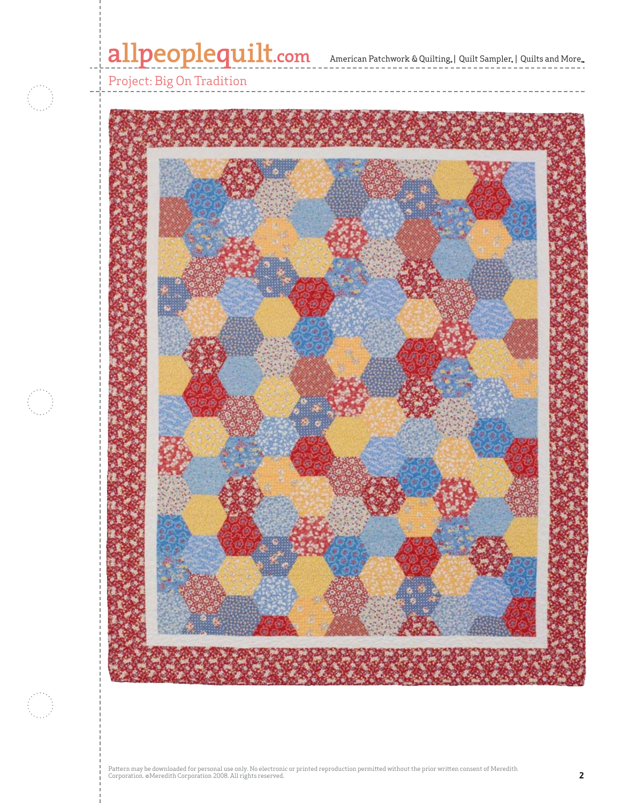# allpeoplequilt.com<br>American Patchwork & Quilting, | Quilt Sampler, | Quilts and More..



Pattern may be downloaded for personal use only. No electronic or printed reproduction permitted without the prior written consent of Meredith<br>Corporation. ©Meredith Corporation 2008. All rights reserved.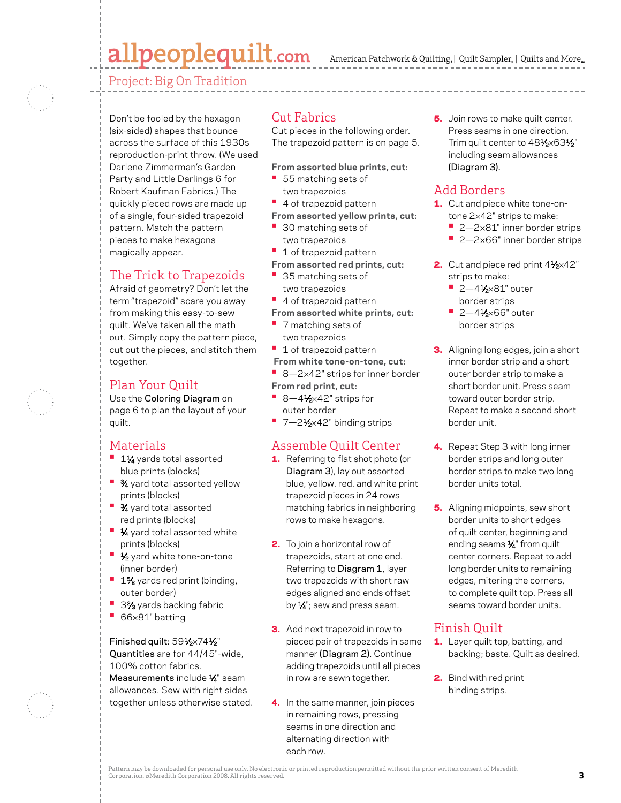# allpeoplequilt.com

American Patchwork & Quilting,  $|$  Quilt Sampler,  $|$  Quilts and More,

Project: Big On Tradition



Don't be fooled by the hexagon (six-sided) shapes that bounce across the surface of this 1930s reproduction-print throw. (We used Darlene Zimmerman's Garden Party and Little Darlings 6 for Robert Kaufman Fabrics.) The quickly pieced rows are made up of a single, four-sided trapezoid pattern. Match the pattern pieces to make hexagons magically appear.

### The Trick to Trapezoids

Afraid of geometry? Don't let the term "trapezoid" scare you away from making this easy-to-sew quilt. We've taken all the math out. Simply copy the pattern piece, cut out the pieces, and stitch them together.

### Plan Your Quilt

Use the Coloring Diagram on page 6 to plan the layout of your quilt.

### Materials

- **<sup>■</sup>** 1½ yards total assorted blue prints (blocks)
- **3⁄4** yard total assorted yellow prints (blocks)
- **•**  3⁄4 yard total assorted red prints (blocks)
- **1⁄4** yard total assorted white prints (blocks)
- 1⁄2 yard white tone-on-tone (inner border)
- **<sup>•</sup>** 1% yards red print (binding, outer border)
- 3<sup>2</sup>⁄<sub>3</sub> yards backing fabric
- **•**  <sup>66</sup>×81" batting

#### Finished quilt: 591/2×741/2"

Quantities are for 44/45"-wide, 100% cotton fabrics. Measurements include 1/4" seam allowances. Sew with right sides together unless otherwise stated.

#### Cut Fabrics

Cut pieces in the following order. The trapezoid pattern is on page 5.

- **From assorted blue prints, cut:**
- **•**  55 matching sets of two trapezoids
- **•**  4 of trapezoid pattern
- **From assorted yellow prints, cut:**
- **•**  30 matching sets of two trapezoids
- **•** 1 of trapezoid pattern
- **From assorted red prints, cut:**
- **•** 35 matching sets of two trapezoids
- **•**  4 of trapezoid pattern
- **From assorted white prints, cut:**
- **•** 7 matching sets of two trapezoids
- **•** 1 of trapezoid pattern
- **From white tone-on-tone, cut:**
- 8-2×42" strips for inner border
- **From red print, cut:**
- 8-41⁄2×42" strips for outer border
- 7-2<sup>1</sup>⁄<sub>2×42</sub>" binding strips

### Assemble Quilt Center

- 1. Referring to flat shot photo (or Diagram 3), lay out assorted blue, yellow, red, and white print trapezoid pieces in 24 rows matching fabrics in neighboring rows to make hexagons.
- **2.** To join a horizontal row of trapezoids, start at one end. Referring to Diagram 1, layer two trapezoids with short raw edges aligned and ends offset by  $\frac{1}{4}$ "; sew and press seam.
- **3.** Add next trapezoid in row to pieced pair of trapezoids in same manner (Diagram 2). Continue adding trapezoids until all pieces in row are sewn together.
- 4. In the same manner, join pieces in remaining rows, pressing seams in one direction and alternating direction with each row.

**5.** Join rows to make quilt center. Press seams in one direction. Trim quilt center to 481⁄2×631⁄2" including seam allowances (Diagram 3).

### Add Borders

- 1. Cut and piece white tone-ontone 2×42" strips to make:
	- **•** 2—2×81" inner border strips
	- 2-2×66" inner border strips
- 2. Cut and piece red print 41⁄2×42" strips to make:
	- **•** 2—41⁄2×81" outer border strips
	- **•** 2—41⁄2×66" outer border strips
- **3.** Aligning long edges, join a short inner border strip and a short outer border strip to make a short border unit. Press seam toward outer border strip. Repeat to make a second short border unit.
- 4. Repeat Step 3 with long inner border strips and long outer border strips to make two long border units total.
- **5.** Aligning midpoints, sew short border units to short edges of quilt center, beginning and ending seams  $\frac{1}{4}$ " from quilt center corners. Repeat to add long border units to remaining edges, mitering the corners, to complete quilt top. Press all seams toward border units.

## Finish Quilt

- 1. Layer quilt top, batting, and backing; baste. Quilt as desired.
- 2. Bind with red print binding strips.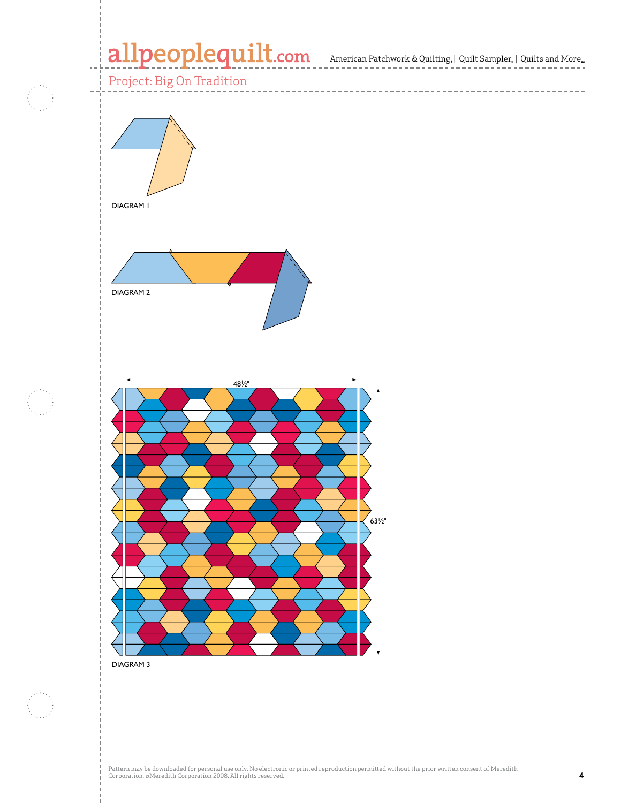# allpeoplequilt.com<br>American Patchwork & Quilting, | Quilt Sampler, | Quilts and More..



DIAGRAM 3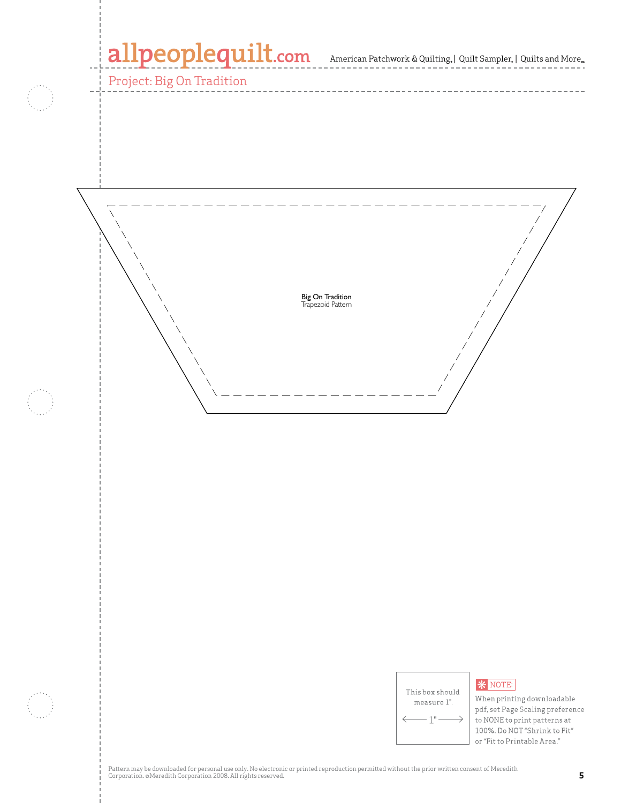# allpeoplequilt.com

Project: Big On Tradition

American Patchwork & Quilting,  $|$  Quilt Sampler,  $|$  Quilts and More $_{\textrm{\tiny{m}}}$ 



| This box should |
|-----------------|
| measure 1".     |
|                 |

#### **\*** NOTE:

When printing downloadable pdf, set Page Scaling preference to NONE to print patterns at 100%. Do NOT "Shrink to Fit" or "Fit to Printable Area."

Pattern may be downloaded for personal use only. No electronic or printed reproduction permitted without the prior written consent of Meredith<br>Corporation. ©Meredith Corporation 2008. All rights reserved.